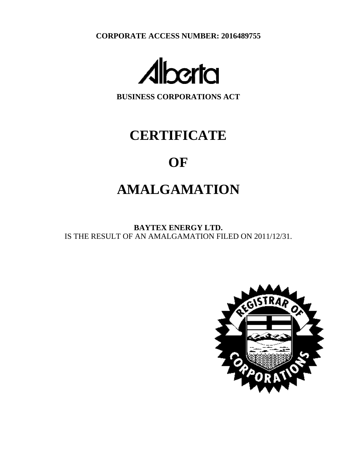**CORPORATE ACCESS NUMBER: 2016489755**



**BUSINESS CORPORATIONS ACT**

# **CERTIFICATE**

# **OF**

# **AMALGAMATION**

**BAYTEX ENERGY LTD.** IS THE RESULT OF AN AMALGAMATION FILED ON 2011/12/31.

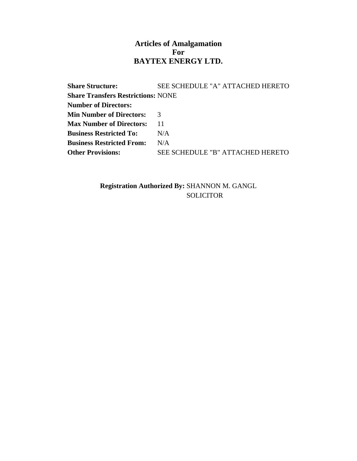### **Articles of Amalgamation For BAYTEX ENERGY LTD.**

**Share Structure: SEE SCHEDULE "A" ATTACHED HERETO Share Transfers Restrictions:** NONE **Number of Directors: Min Number of Directors:** 3 **Max Number of Directors:** 11 **Business Restricted To:** N/A **Business Restricted From:** N/A **Other Provisions: SEE SCHEDULE "B" ATTACHED HERETO** 

> **Registration Authorized By:** SHANNON M. GANGL **SOLICITOR**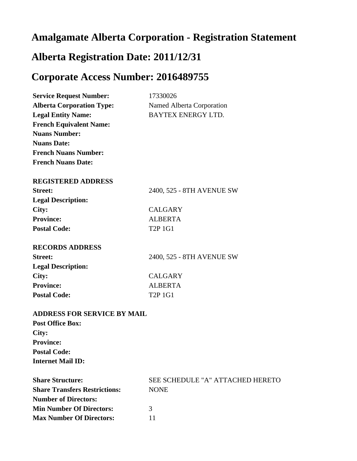## **Amalgamate Alberta Corporation - Registration Statement**

## **Alberta Registration Date: 2011/12/31**

## **Corporate Access Number: 2016489755**

| <b>Service Request Number:</b>       | 17330026                         |
|--------------------------------------|----------------------------------|
| <b>Alberta Corporation Type:</b>     | Named Alberta Corporation        |
| <b>Legal Entity Name:</b>            | <b>BAYTEX ENERGY LTD.</b>        |
| <b>French Equivalent Name:</b>       |                                  |
| <b>Nuans Number:</b>                 |                                  |
| <b>Nuans Date:</b>                   |                                  |
| <b>French Nuans Number:</b>          |                                  |
| <b>French Nuans Date:</b>            |                                  |
| <b>REGISTERED ADDRESS</b>            |                                  |
| <b>Street:</b>                       | 2400, 525 - 8TH AVENUE SW        |
| <b>Legal Description:</b>            |                                  |
| City:                                | <b>CALGARY</b>                   |
| <b>Province:</b>                     | <b>ALBERTA</b>                   |
| <b>Postal Code:</b>                  | T <sub>2</sub> P <sub>1G1</sub>  |
| <b>RECORDS ADDRESS</b>               |                                  |
| <b>Street:</b>                       | 2400, 525 - 8TH AVENUE SW        |
| <b>Legal Description:</b>            |                                  |
| City:                                | <b>CALGARY</b>                   |
| <b>Province:</b>                     | <b>ALBERTA</b>                   |
| <b>Postal Code:</b>                  | <b>T2P 1G1</b>                   |
| <b>ADDRESS FOR SERVICE BY MAIL</b>   |                                  |
| <b>Post Office Box:</b>              |                                  |
| City:                                |                                  |
| <b>Province:</b>                     |                                  |
| <b>Postal Code:</b>                  |                                  |
| <b>Internet Mail ID:</b>             |                                  |
| <b>Share Structure:</b>              | SEE SCHEDULE "A" ATTACHED HERETO |
| <b>Share Transfers Restrictions:</b> | <b>NONE</b>                      |
| <b>Number of Directors:</b>          |                                  |
| <b>Min Number Of Directors:</b>      | 3                                |
| <b>Max Number Of Directors:</b>      | 11                               |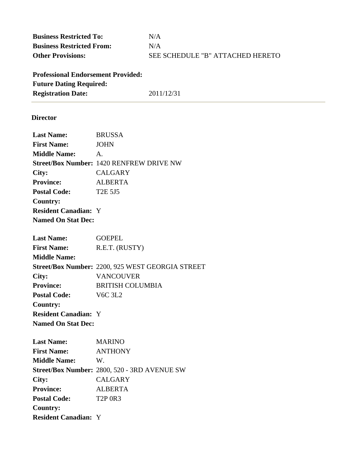**Business Restricted To:** N/A **Business Restricted From:** N/A Other Provisions: **SEE SCHEDULE "B" ATTACHED HERETO** 

**Professional Endorsement Provided: Future Dating Required: Registration Date:** 2011/12/31

### **Director**

| <b>Last Name:</b>           | <b>BRUSSA</b>                                    |
|-----------------------------|--------------------------------------------------|
| <b>First Name:</b>          | <b>JOHN</b>                                      |
| <b>Middle Name:</b>         | $\mathsf{A}$ .                                   |
|                             | <b>Street/Box Number: 1420 RENFREW DRIVE NW</b>  |
| City:                       | <b>CALGARY</b>                                   |
| <b>Province:</b>            | <b>ALBERTA</b>                                   |
| <b>Postal Code:</b>         | <b>T2E 5J5</b>                                   |
| <b>Country:</b>             |                                                  |
| <b>Resident Canadian: Y</b> |                                                  |
| <b>Named On Stat Dec:</b>   |                                                  |
|                             |                                                  |
| <b>Last Name:</b>           | <b>GOEPEL</b>                                    |
| <b>First Name:</b>          | R.E.T. (RUSTY)                                   |
| <b>Middle Name:</b>         |                                                  |
|                             | Street/Box Number: 2200, 925 WEST GEORGIA STREET |
| City:                       | <b>VANCOUVER</b>                                 |
| <b>Province:</b>            | <b>BRITISH COLUMBIA</b>                          |
| <b>Postal Code:</b>         | <b>V6C 3L2</b>                                   |
| <b>Country:</b>             |                                                  |
| <b>Resident Canadian: Y</b> |                                                  |
| <b>Named On Stat Dec:</b>   |                                                  |
|                             |                                                  |
| <b>Last Name:</b>           | <b>MARINO</b>                                    |
| <b>First Name:</b>          | <b>ANTHONY</b>                                   |
| <b>Middle Name:</b>         | W.                                               |
|                             | Street/Box Number: 2800, 520 - 3RD AVENUE SW     |
| City:                       | <b>CALGARY</b>                                   |
| <b>Province:</b>            | <b>ALBERTA</b>                                   |
| <b>Postal Code:</b>         | <b>T2P 0R3</b>                                   |
| <b>Country:</b>             |                                                  |
| <b>Resident Canadian: Y</b> |                                                  |
|                             |                                                  |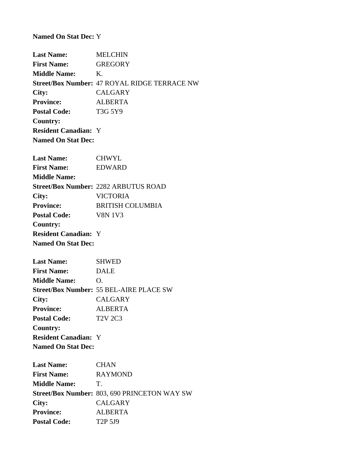**Named On Stat Dec:** Y

**Last Name:** MELCHIN **First Name:** GREGORY **Middle Name:** K. **Street/Box Number:** 47 ROYAL RIDGE TERRACE NW **City:** CALGARY **Province:** ALBERTA Postal Code: T3G 5Y9 **Country: Resident Canadian:** Y **Named On Stat Dec:**

| <b>Last Name:</b>           | CHWYL                                       |
|-----------------------------|---------------------------------------------|
| <b>First Name:</b>          | EDWARD                                      |
| <b>Middle Name:</b>         |                                             |
|                             | <b>Street/Box Number: 2282 ARBUTUS ROAD</b> |
| City:                       | VICTORIA                                    |
| <b>Province:</b>            | <b>BRITISH COLUMBIA</b>                     |
| <b>Postal Code:</b>         | <b>V8N 1V3</b>                              |
| Country:                    |                                             |
| <b>Resident Canadian: Y</b> |                                             |
| <b>Named On Stat Dec:</b>   |                                             |

| <b>Last Name:</b>           | <b>SHWED</b>                                   |
|-----------------------------|------------------------------------------------|
| <b>First Name:</b>          | <b>DALE</b>                                    |
| <b>Middle Name:</b>         | O.                                             |
|                             | <b>Street/Box Number: 55 BEL-AIRE PLACE SW</b> |
| City:                       | <b>CALGARY</b>                                 |
| <b>Province:</b>            | <b>ALBERTA</b>                                 |
| <b>Postal Code:</b>         | T <sub>2</sub> V <sub>2C3</sub>                |
| Country:                    |                                                |
| <b>Resident Canadian: Y</b> |                                                |
| <b>Named On Stat Dec:</b>   |                                                |

**Last Name:** CHAN **First Name:** RAYMOND **Middle Name:** T. **Street/Box Number:** 803, 690 PRINCETON WAY SW **City:** CALGARY **Province:** ALBERTA **Postal Code:** T2P 5J9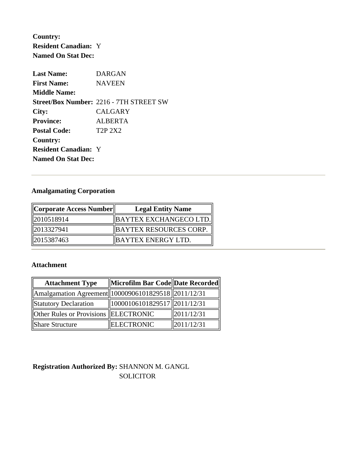**Country: Resident Canadian:** Y **Named On Stat Dec:**

| <b>Last Name:</b>           | <b>DARGAN</b>                                  |
|-----------------------------|------------------------------------------------|
| <b>First Name:</b>          | <b>NAVEEN</b>                                  |
| <b>Middle Name:</b>         |                                                |
|                             | <b>Street/Box Number: 2216 - 7TH STREET SW</b> |
| City:                       | <b>CALGARY</b>                                 |
| <b>Province:</b>            | ALBERTA                                        |
| <b>Postal Code:</b>         | T <sub>2</sub> P <sub>2</sub> X <sub>2</sub>   |
| <b>Country:</b>             |                                                |
| <b>Resident Canadian: Y</b> |                                                |
| <b>Named On Stat Dec:</b>   |                                                |

## **Amalgamating Corporation**

| Corporate Access Number | <b>Legal Entity Name</b>      |  |
|-------------------------|-------------------------------|--|
| 2010518914              | BAYTEX EXCHANGECO LTD.        |  |
| 12013327941             | <b>BAYTEX RESOURCES CORP.</b> |  |
| 2015387463              | BAYTEX ENERGY LTD.            |  |

### **Attachment**

| <b>Attachment Type</b>                              | Microfilm Bar Code Date Recorded    |                |
|-----------------------------------------------------|-------------------------------------|----------------|
| Amalgamation Agreement 10000906101829518 2011/12/31 |                                     |                |
| Statutory Declaration                               | $\ 10000106101829517\ 2011/12/31\ $ |                |
| Other Rules or Provisions ELECTRONIC                |                                     | $\ 2011/12/31$ |
| Share Structure                                     | <b>ELECTRONIC</b>                   | 2011/12/31     |

## **Registration Authorized By:** SHANNON M. GANGL **SOLICITOR**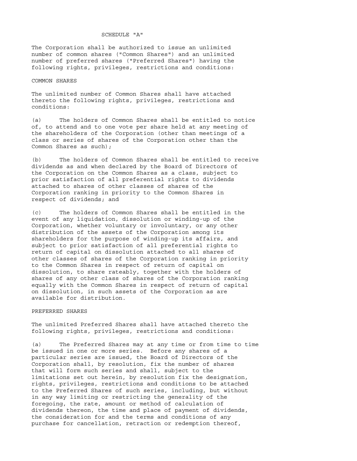#### SCHEDULE "A"

The Corporation shall be authorized to issue an unlimited number of common shares ("Common Shares") and an unlimited number of preferred shares ("Preferred Shares") having the following rights, privileges, restrictions and conditions:

#### COMMON SHARES

The unlimited number of Common Shares shall have attached thereto the following rights, privileges, restrictions and conditions:

(a) The holders of Common Shares shall be entitled to notice of, to attend and to one vote per share held at any meeting of the shareholders of the Corporation (other than meetings of a class or series of shares of the Corporation other than the Common Shares as such);

(b) The holders of Common Shares shall be entitled to receive dividends as and when declared by the Board of Directors of the Corporation on the Common Shares as a class, subject to prior satisfaction of all preferential rights to dividends attached to shares of other classes of shares of the Corporation ranking in priority to the Common Shares in respect of dividends; and

(c) The holders of Common Shares shall be entitled in the event of any liquidation, dissolution or winding-up of the Corporation, whether voluntary or involuntary, or any other distribution of the assets of the Corporation among its shareholders for the purpose of winding-up its affairs, and subject to prior satisfaction of all preferential rights to return of capital on dissolution attached to all shares of other classes of shares of the Corporation ranking in priority to the Common Shares in respect of return of capital on dissolution, to share rateably, together with the holders of shares of any other class of shares of the Corporation ranking equally with the Common Shares in respect of return of capital on dissolution, in such assets of the Corporation as are available for distribution.

#### PREFERRED SHARES

The unlimited Preferred Shares shall have attached thereto the following rights, privileges, restrictions and conditions:

(a) The Preferred Shares may at any time or from time to time be issued in one or more series. Before any shares of a particular series are issued, the Board of Directors of the Corporation shall, by resolution, fix the number of shares that will form such series and shall, subject to the limitations set out herein, by resolution fix the designation, rights, privileges, restrictions and conditions to be attached to the Preferred Shares of such series, including, but without in any way limiting or restricting the generality of the foregoing, the rate, amount or method of calculation of dividends thereon, the time and place of payment of dividends, the consideration for and the terms and conditions of any purchase for cancellation, retraction or redemption thereof,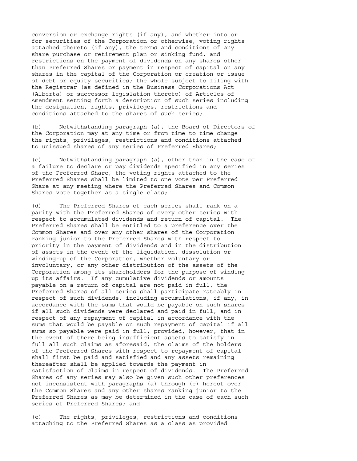conversion or exchange rights (if any), and whether into or for securities of the Corporation or otherwise, voting rights attached thereto (if any), the terms and conditions of any share purchase or retirement plan or sinking fund, and restrictions on the payment of dividends on any shares other than Preferred Shares or payment in respect of capital on any shares in the capital of the Corporation or creation or issue of debt or equity securities; the whole subject to filing with the Registrar (as defined in the Business Corporations Act (Alberta) or successor legislation thereto) of Articles of Amendment setting forth a description of such series including the designation, rights, privileges, restrictions and conditions attached to the shares of such series;

(b) Notwithstanding paragraph (a), the Board of Directors of the Corporation may at any time or from time to time change the rights, privileges, restrictions and conditions attached to unissued shares of any series of Preferred Shares;

(c) Notwithstanding paragraph (a), other than in the case of a failure to declare or pay dividends specified in any series of the Preferred Share, the voting rights attached to the Preferred Shares shall be limited to one vote per Preferred Share at any meeting where the Preferred Shares and Common Shares vote together as a single class;

(d) The Preferred Shares of each series shall rank on a parity with the Preferred Shares of every other series with respect to accumulated dividends and return of capital. The Preferred Shares shall be entitled to a preference over the Common Shares and over any other shares of the Corporation ranking junior to the Preferred Shares with respect to priority in the payment of dividends and in the distribution of assets in the event of the liquidation, dissolution or winding-up of the Corporation, whether voluntary or involuntary, or any other distribution of the assets of the Corporation among its shareholders for the purpose of windingup its affairs. If any cumulative dividends or amounts payable on a return of capital are not paid in full, the Preferred Shares of all series shall participate rateably in respect of such dividends, including accumulations, if any, in accordance with the sums that would be payable on such shares if all such dividends were declared and paid in full, and in respect of any repayment of capital in accordance with the sums that would be payable on such repayment of capital if all sums so payable were paid in full; provided, however, that in the event of there being insufficient assets to satisfy in full all such claims as aforesaid, the claims of the holders of the Preferred Shares with respect to repayment of capital shall first be paid and satisfied and any assets remaining thereafter shall be applied towards the payment in satisfaction of claims in respect of dividends. The Preferred Shares of any series may also be given such other preferences not inconsistent with paragraphs (a) through (e) hereof over the Common Shares and any other shares ranking junior to the Preferred Shares as may be determined in the case of each such series of Preferred Shares; and

(e) The rights, privileges, restrictions and conditions attaching to the Preferred Shares as a class as provided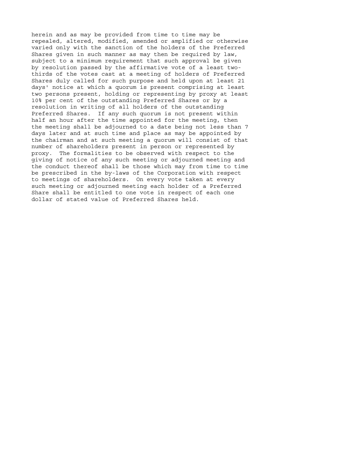herein and as may be provided from time to time may be repealed, altered, modified, amended or amplified or otherwise varied only with the sanction of the holders of the Preferred Shares given in such manner as may then be required by law, subject to a minimum requirement that such approval be given by resolution passed by the affirmative vote of a least twothirds of the votes cast at a meeting of holders of Preferred Shares duly called for such purpose and held upon at least 21 days' notice at which a quorum is present comprising at least two persons present, holding or representing by proxy at least 10% per cent of the outstanding Preferred Shares or by a resolution in writing of all holders of the outstanding Preferred Shares. If any such quorum is not present within half an hour after the time appointed for the meeting, then the meeting shall be adjourned to a date being not less than 7 days later and at such time and place as may be appointed by the chairman and at such meeting a quorum will consist of that number of shareholders present in person or represented by proxy. The formalities to be observed with respect to the giving of notice of any such meeting or adjourned meeting and the conduct thereof shall be those which may from time to time be prescribed in the by-laws of the Corporation with respect to meetings of shareholders. On every vote taken at every such meeting or adjourned meeting each holder of a Preferred Share shall be entitled to one vote in respect of each one dollar of stated value of Preferred Shares held.